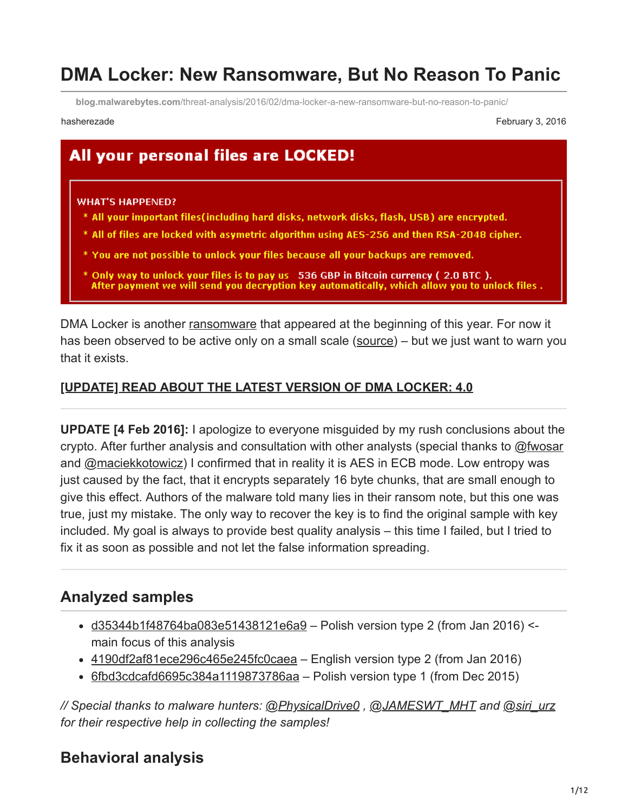# **DMA Locker: New Ransomware, But No Reason To Panic**

**blog.malwarebytes.com**[/threat-analysis/2016/02/dma-locker-a-new-ransomware-but-no-reason-to-panic/](https://blog.malwarebytes.com/threat-analysis/2016/02/dma-locker-a-new-ransomware-but-no-reason-to-panic/)

hasherezade February 3, 2016

## All your personal files are LOCKED!

#### **WHAT'S HAPPENED?**

- \* All your important files(including hard disks, network disks, flash, USB) are encrypted.
- \* All of files are locked with asymetric algorithm using AES-256 and then RSA-2048 cipher.
- \* You are not possible to unlock your files because all your backups are removed.
- $^*$  Only way to unlock your files is to pay us  $\,$  536 GBP in Bitcoin currency ( 2.0 BTC ). . After payment we will send you decryption key automatically, which allow you to unlock files

DMA Locker is another [ransomware](https://www.malwarebytes.com/ransomware) that appeared at the beginning of this year. For now it has been observed to be active only on a small scale ([source\)](https://forum.4programmers.net/Hardware_Software/264028-dma_locker_-_zaszyfrowane_pliki) – but we just want to warn you that it exists.

#### **[\[UPDATE\] READ ABOUT THE LATEST VERSION OF DMA LOCKER: 4.0](https://blog.malwarebytes.org/threat-analysis/2016/05/dma-locker-4-0-known-ransomware-preparing-for-a-massive-distribution/)**

**UPDATE [4 Feb 2016]:** I apologize to everyone misguided by my rush conclusions about the crypto. After further analysis and consultation with other analysts (special thanks to [@fwosar](https://twitter.com/fwosar) and [@maciekkotowicz](https://twitter.com/maciekkotowicz)) I confirmed that in reality it is AES in ECB mode. Low entropy was just caused by the fact, that it encrypts separately 16 byte chunks, that are small enough to give this effect. Authors of the malware told many lies in their ransom note, but this one was true, just my mistake. The only way to recover the key is to find the original sample with key included. My goal is always to provide best quality analysis – this time I failed, but I tried to fix it as soon as possible and not let the false information spreading.

## **Analyzed samples**

- $\bullet$  [d35344b1f48764ba083e51438121e6a9](https://malwr.com/analysis/OTIwNGI5ZGM4NmMyNDRmYTg5M2QyMmY2ODgwMzQ3Yzc/) Polish version type 2 (from Jan 2016) <main focus of this analysis
- $\cdot$  [4190df2af81ece296c465e245fc0caea](https://malwr.com/analysis/YWZmMzY4OTk0N2E3NDNhZDkzMGE2ZGJlNDc1YWM3YmQ/)  English version type 2 (from Jan 2016)
- $\cdot$  [6fbd3cdcafd6695c384a1119873786aa](https://www.virustotal.com/en/file/db1696106bb100a1fc10fadc9b93e17f80055604fa53fe3785b64efdabe0a254/analysis/) Polish version type 1 (from Dec 2015)

*// Special thanks to malware hunters: [@PhysicalDrive0](https://twitter.com/PhysicalDrive0) , [@JAMESWT\\_MHT](https://twitter.com/JAMESWT_MHT) and [@siri\\_urz](https://twitter.com/siri_urz) for their respective help in collecting the samples!*

## **Behavioral analysis**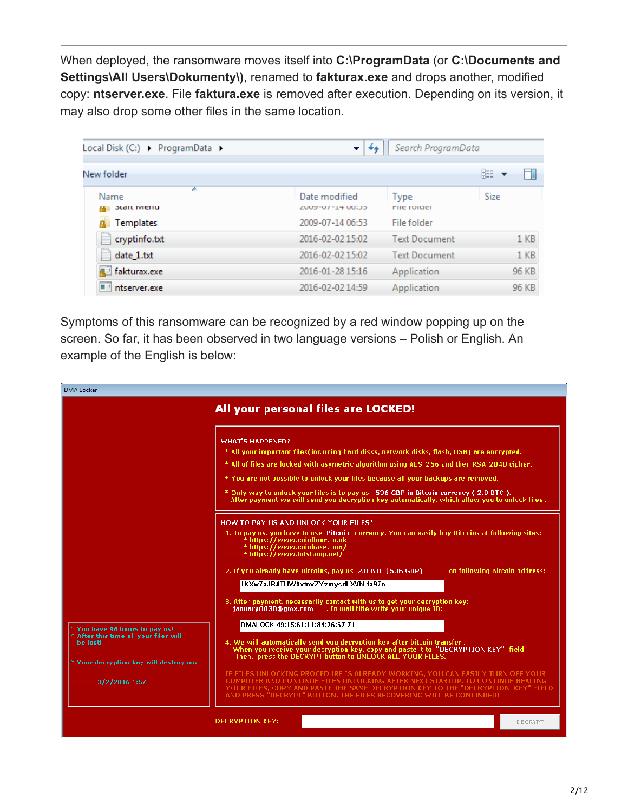When deployed, the ransomware moves itself into **C:\ProgramData** (or **C:\Documents and Settings\All Users\Dokumenty\)**, renamed to **fakturax.exe** and drops another, modified copy: **ntserver.exe**. File **faktura.exe** is removed after execution. Depending on its version, it may also drop some other files in the same location.

| Local Disk (C:) > ProgramData >   | ۰<br>**                            | Search ProgramData         |                 |
|-----------------------------------|------------------------------------|----------------------------|-----------------|
| New folder                        |                                    |                            | 睚               |
| ▴<br>Name<br><b>Start Ivieriu</b> | Date modified<br>CC:00 51-10-50077 | Type<br><b>FIIE TUIDER</b> | Size            |
| Templates                         | 2009-07-14 06:53                   | File folder                |                 |
| cryptinfo.txt                     | 2016-02-02 15:02                   | <b>Text Document</b>       | 1 <sub>KB</sub> |
| date 1.txt                        | 2016-02-02 15:02                   | <b>Text Document</b>       | 1 <sub>KB</sub> |
| d fakturax.exe                    | 2016-01-28 15:16                   | Application                | 96 KB           |
| ntserver.exe                      | 2016-02-02 14:59                   | Application                | 96 KB           |

Symptoms of this ransomware can be recognized by a red window popping up on the screen. So far, it has been observed in two language versions – Polish or English. An example of the English is below:

| <b>DMA</b> Locker                                                                      |                                                                                                                                                                                                                                                                                                                                                                                                                                                                                                   |
|----------------------------------------------------------------------------------------|---------------------------------------------------------------------------------------------------------------------------------------------------------------------------------------------------------------------------------------------------------------------------------------------------------------------------------------------------------------------------------------------------------------------------------------------------------------------------------------------------|
|                                                                                        | All your personal files are LOCKED!                                                                                                                                                                                                                                                                                                                                                                                                                                                               |
|                                                                                        | <b>WHAT'S HAPPENED?</b><br>* All your important files (including hard disks, network disks, flash, USB) are encrypted.<br>* All of files are locked with asymetric algorithm using AES-256 and then RSA-2048 cipher.<br>* You are not possible to unlock your files because all your backups are removed.<br>* Only way to unlock your files is to pay us 536 GBP in Bitcoin currency (2.0 BTC).<br>After payment we will send you decryption key automatically, which allow you to unlock files. |
|                                                                                        | HOW TO PAY US AND UNLOCK YOUR FILES?<br>1. To pay us, you have to use Bitcoin currency. You can easily buy Bitcoins at following sites:<br>* https://www.coinfloor.co.uk<br>* https://www.coinbase.com/<br>* https://www.bitstamp.net/<br>2. If you already have Bitcoins, pay us 2.0 BTC (536 GBP)<br>on following Bitcoin address:                                                                                                                                                              |
|                                                                                        | 1KXw7aJR4THWAxtnxZYzmysdLXVhLfa97n<br>3. After payment, necessarily contact with us to get your decryption key:<br>january0030@gmx.com<br>. In mail title write your unique ID:                                                                                                                                                                                                                                                                                                                   |
| * You have 96 hours to pay us!<br>$^*$ After this time all your files will<br>he lost! | DMALOCK 49:15:61:11:84:76:67:71<br>4. We will automatically send you decryption key after bitcoin transfer.<br>When you receive your decryption key, copy and paste it to "DECRYPTION KEY" field<br>Then, press the DECRYPT button to UNLOCK ALL YOUR FILES.                                                                                                                                                                                                                                      |
| * Your decryption key will destroy on:<br>3/2/2016 1:57                                | IF FILES UNLOCKING PROCEDURE IS ALREADY WORKING, YOU CAN EASILY TURN OFF YOUR<br>COMPUTER AND CONTINUE FILES UNLOCKING AFTER NEXT STARTUP. TO CONTINUE HEALING<br>YOUR FILES, COPY AND PASTE THE SAME DECRYPTION KEY TO THE "DECRYPTION KEY" FIELD<br>AND PRESS "DECRYPT" BUTTON. THE EILES RECOVERING WILL BE CONTINUED!                                                                                                                                                                         |
|                                                                                        | <b>DECRYPTION KEY:</b><br>DECRYPT                                                                                                                                                                                                                                                                                                                                                                                                                                                                 |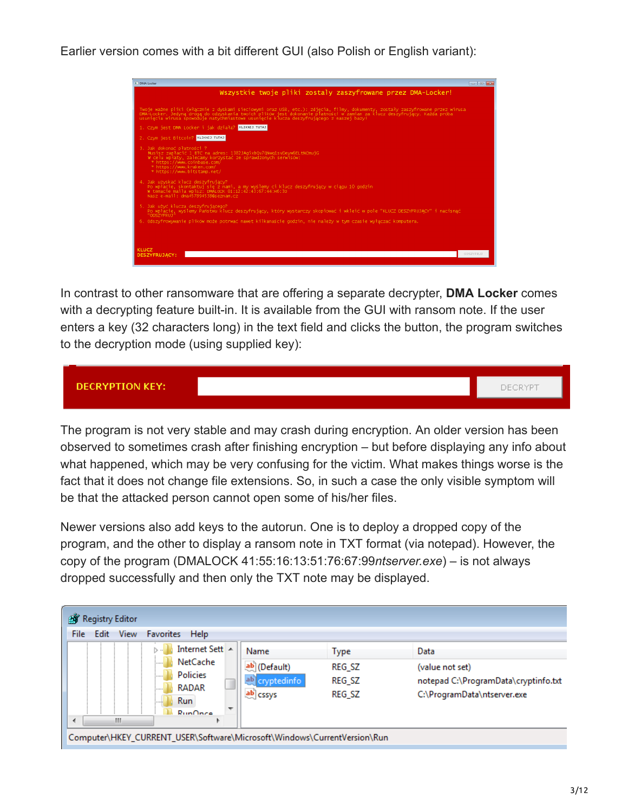Earlier version comes with a bit different GUI (also Polish or English variant):



In contrast to other ransomware that are offering a separate decrypter, **DMA Locker** comes with a decrypting feature built-in. It is available from the GUI with ransom note. If the user enters a key (32 characters long) in the text field and clicks the button, the program switches to the decryption mode (using supplied key):



The program is not very stable and may crash during encryption. An older version has been observed to sometimes crash after finishing encryption – but before displaying any info about what happened, which may be very confusing for the victim. What makes things worse is the fact that it does not change file extensions. So, in such a case the only visible symptom will be that the attacked person cannot open some of his/her files.

Newer versions also add keys to the autorun. One is to deploy a dropped copy of the program, and the other to display a ransom note in TXT format (via notepad). However, the copy of the program (DMALOCK 41:55:16:13:51:76:67:99*ntserver.exe*) – is not always dropped successfully and then only the TXT note may be displayed.

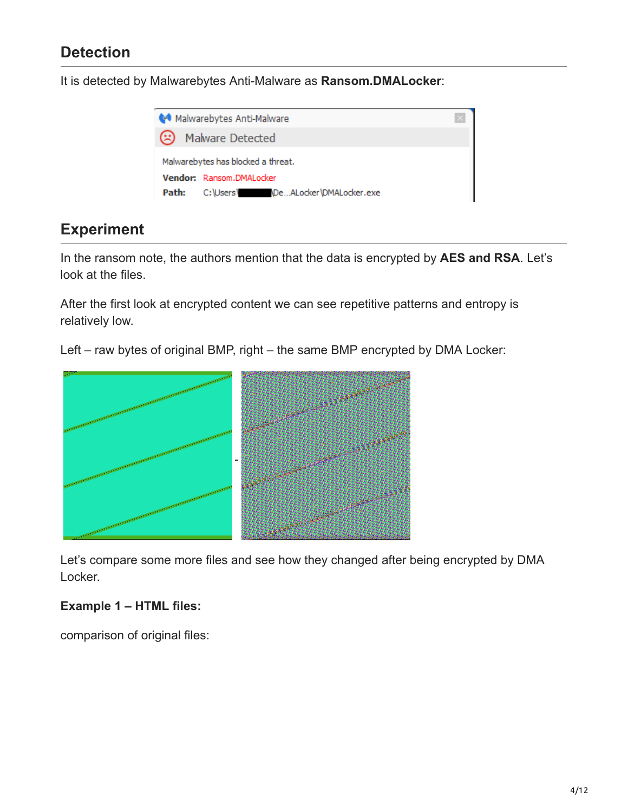## **Detection**

It is detected by Malwarebytes Anti-Malware as **Ransom.DMALocker**:



## **Experiment**

In the ransom note, the authors mention that the data is encrypted by **AES and RSA**. Let's look at the files.

After the first look at encrypted content we can see repetitive patterns and entropy is relatively low.

Left – raw bytes of original BMP, right – the same BMP encrypted by DMA Locker:



Let's compare some more files and see how they changed after being encrypted by DMA Locker.

#### **Example 1 – HTML files:**

comparison of original files: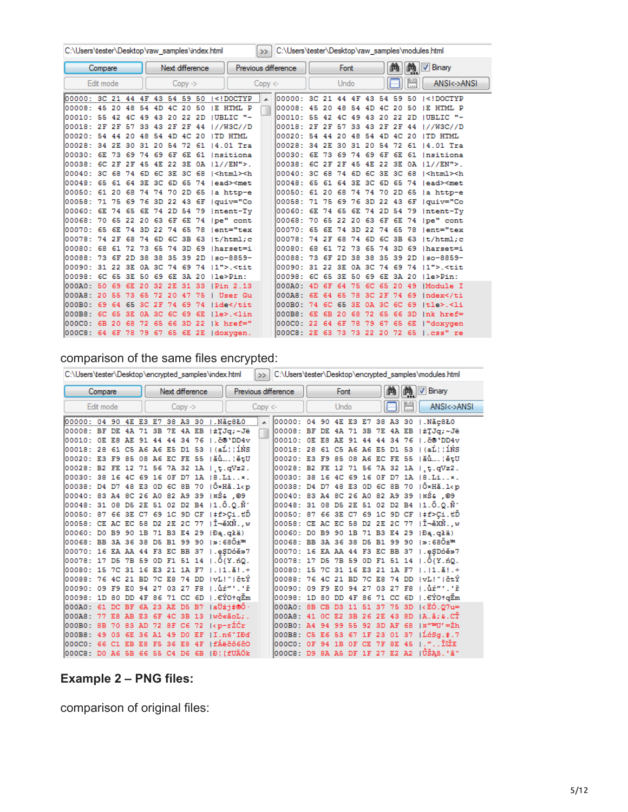|                                          | C:\Users\tester\Desktop\raw samples\index.html<br>$\gg$ |     |     |                   |     |             |                    |                 |  | C:\Users\tester\Desktop\raw samples\modules.html                                                                                                                                                               |            |                                 |                   |          |                |       |          |         |          |      |                                       |  |
|------------------------------------------|---------------------------------------------------------|-----|-----|-------------------|-----|-------------|--------------------|-----------------|--|----------------------------------------------------------------------------------------------------------------------------------------------------------------------------------------------------------------|------------|---------------------------------|-------------------|----------|----------------|-------|----------|---------|----------|------|---------------------------------------|--|
|                                          | Compare                                                 |     |     |                   |     |             |                    | Next difference |  |                                                                                                                                                                                                                |            | Previous difference             |                   |          | Font           |       |          |         | 曲        | m.   | V Binary                              |  |
|                                          | Edit mode                                               |     |     |                   |     |             | $Conv \rightarrow$ |                 |  |                                                                                                                                                                                                                | $Copy < -$ |                                 |                   |          | Undo           |       |          |         |          |      | ANSI<->ANSI                           |  |
| 00000: 3C 21 44 4F 43 54 59 50           |                                                         |     |     |                   |     |             |                    |                 |  | DOCTYP</th <th></th> <th>00000: 3C 21 44 4F 43 54 59 50</th> <th></th> <th></th> <th></th> <th></th> <th></th> <th></th> <th></th> <th></th> <th><math>\le</math>! DOCTYP</th> <th></th>                       |            | 00000: 3C 21 44 4F 43 54 59 50  |                   |          |                |       |          |         |          |      | $\le$ ! DOCTYP                        |  |
| 100008: 45 20 48 54 4D 4C 20             |                                                         |     |     |                   |     |             |                    | -50             |  | IE HTML P                                                                                                                                                                                                      |            | : 80000                         | 45 20 48          |          |                | 54    |          | 4D 4C   | 20       | 50   | IE HTML P                             |  |
| 00010: 55 42 4C 49 43 20 22 2D           |                                                         |     |     |                   |     |             |                    |                 |  | <b>IUBLIC "-</b>                                                                                                                                                                                               |            | 00010: 55 42 4C 49 43 20 22 2D  |                   |          |                |       |          |         |          |      | <b>IUBLIC "-</b>                      |  |
| 00018: 2F 2F 57 33 43 2F 2F              |                                                         |     |     |                   |     |             |                    | -44             |  | 17/W3C/TD                                                                                                                                                                                                      |            | 00018: 2F 2F 57                 |                   |          |                |       | 33 43 2F |         | 2F       | 44   | 17/W3C/7D                             |  |
| 100020: 54 44 20 48 54 4D 4C             |                                                         |     |     |                   |     |             |                    | -20             |  | ITD HTML                                                                                                                                                                                                       |            | 100020: 54 44 20 48 54 4D 4C    |                   |          |                |       |          |         |          | 20   | TD HTML                               |  |
| 00028: 34 2E                             |                                                         |     |     | 30 31 20 54       |     |             | 72.                | -61             |  | $14.01$ Tra                                                                                                                                                                                                    |            | 100028-                         | 34 2E 30 31 20 54 |          |                |       |          |         | 72       | -61  | 14.01 Tra                             |  |
| 100030: 6E 73 69 74 69 6F 6E 61          |                                                         |     |     |                   |     |             |                    |                 |  | Insitiona                                                                                                                                                                                                      |            | 100030: 6E 73 69 74 69 6F       |                   |          |                |       |          |         | 6E       | 61   | Insitiona                             |  |
| 00038: 6C 2F 2F 45 4E 22 3E 0A 11//EN">. |                                                         |     |     |                   |     |             |                    |                 |  |                                                                                                                                                                                                                |            | 00038: 6C 2F 2F 45 4E 22 3E     |                   |          |                |       |          |         |          | 0A.  | $11//EN"$ .                           |  |
| 100040: 3C 68 74 6D 6C 3E 3C 68          |                                                         |     |     |                   |     |             |                    |                 |  | ≺html>≺h                                                                                                                                                                                                       |            | 100040: 3C 68 74 6D 6C 3E 3C    |                   |          |                |       |          |         |          | 68   | $ \text{thtml}{\times}h$              |  |
| l00048 :                                 | 65 61 64 3E 3C 6D 65                                    |     |     |                   |     |             |                    | -74             |  | lead> <met< td=""><td></td><td>l00048 :</td><td></td><td></td><td>65 61 64 3E 3C</td><td></td><td></td><td>6D 65</td><td></td><td>74</td><td>lead&gt;<met< td=""><td></td></met<></td></met<>                  |            | l00048 :                        |                   |          | 65 61 64 3E 3C |       |          | 6D 65   |          | 74   | lead> <met< td=""><td></td></met<>    |  |
| 00050: 61 20 68 74 74 70 2D 65           |                                                         |     |     |                   |     |             |                    |                 |  | la http-e                                                                                                                                                                                                      |            | 100050: 61 20 68 74 74 70 2D 65 |                   |          |                |       |          |         |          |      | a http-e                              |  |
| 00058: 71 75 69 76 3D 22 43 6F           |                                                         |     |     |                   |     |             |                    |                 |  | Iguiv="Co                                                                                                                                                                                                      |            | 00058: 71 75 69 76 3D 22 43 6F  |                   |          |                |       |          |         |          |      | Iguiv="Co                             |  |
| 00060: 6E 74 65 6E 74 2D 54 79           |                                                         |     |     |                   |     |             |                    |                 |  | Intent-Tv                                                                                                                                                                                                      |            | 00060: 6E 74 65 6E 74 2D 54 79  |                   |          |                |       |          |         |          |      | Intent-Ty                             |  |
| 00068: 70 65 22 20 63 6F 6E 74           |                                                         |     |     |                   |     |             |                    |                 |  | pe" cont                                                                                                                                                                                                       |            | 100068: 70 65 22 20 63 6F 6E 74 |                   |          |                |       |          |         |          |      | pe" cont                              |  |
| l00070 :                                 | 65 6E 74 3D 22 74 65 78                                 |     |     |                   |     |             |                    |                 |  | lent="tex                                                                                                                                                                                                      |            | 100070: 65 6E                   |                   |          | 74             | 3D 22 |          | 74      | 65       | 78   | lent="tex                             |  |
| l00078:                                  | 74 2F                                                   |     |     | 68 74 6D 6C 3B 63 |     |             |                    |                 |  | $\lfloor t / \text{html} \rfloor$                                                                                                                                                                              |            | 100078:                         |                   | 74 2F    | 68             | 74    | 6D       | $6C$ 3B |          | -63  | $\lfloor t / \text{html} \rfloor$     |  |
| lOOO8O: 68 61                            |                                                         |     |     | 72 73 65 74 3D 69 |     |             |                    |                 |  | Tharset=i                                                                                                                                                                                                      |            | l00080: 68 61                   |                   |          | 72             |       | 73 65    |         | 74 3D 69 |      | Iharset=i                             |  |
| : 188000                                 | 73 6F 2D 38 38 35 39 2D                                 |     |     |                   |     |             |                    |                 |  | $150 - 8859 -$                                                                                                                                                                                                 |            | : 88000                         |                   |          | 73 6F 2D 38 38 |       |          | 35 39   |          | 2 D  | $150 - 8859 -$                        |  |
| 00090: 31 22 3E 0A 3C 74 69 74           |                                                         |     |     |                   |     |             |                    |                 |  | $11"$ >. <tit< td=""><td></td><td>00090: 31 22 3E 0A 3C 74 69 74</td><td></td><td></td><td></td><td></td><td></td><td></td><td></td><td></td><td><math>11"</math>&gt;.<tit< td=""><td></td></tit<></td></tit<> |            | 00090: 31 22 3E 0A 3C 74 69 74  |                   |          |                |       |          |         |          |      | $11"$ >. <tit< td=""><td></td></tit<> |  |
| : 180001                                 | 6C 65 3E 50 69 6E 3A 20                                 |     |     |                   |     |             |                    |                 |  | He>Pin:                                                                                                                                                                                                        |            | : 80000                         |                   | 6C 65 3E |                | 50    | 69       |         | 6E 3A 20 |      | Ile>Pin:                              |  |
| 1000A0: 50                               |                                                         | 69  | 6E  | 20                | 32  | 2E          | 31                 | 33              |  | <b>IPin 2.13</b>                                                                                                                                                                                               |            | 1000A0 :                        | 4D                | -6F      | 64             |       | 6C.      | 65      | 20       | -49  | Module I                              |  |
| : 0000A                                  | 20 55                                                   |     | 73  | -65               | 72  | -20         | 47                 | -75             |  | User Gu                                                                                                                                                                                                        |            | 000AB:                          | 6E                | -64      | 65             | 78    | 3C.      | 2F      | 74       | -69  | Index <td></td>                       |  |
| 1000B0 :                                 | -69                                                     | -64 | -65 | -3C               | 2F  | 74          | 69                 | 74              |  | lide <td></td> <td>000B0:</td> <td></td> <td>74 6C</td> <td>-65</td> <td>3E.</td> <td></td> <td>0A 3C</td> <td>6C.</td> <td>-69</td> <td>Itle&gt;.<li< td=""><td></td></li<></td>                              |            | 000B0:                          |                   | 74 6C    | -65            | 3E.   |          | 0A 3C   | 6C.      | -69  | Itle>. <li< td=""><td></td></li<>     |  |
| 1000B8 :                                 | -6C                                                     | 65  | 3E  | 0A.               | 3C. | 6C.         | 69                 | 6E              |  | ∣le≻.≺lin                                                                                                                                                                                                      |            | 000B8 :                         | 6E                |          | 6B 20 68       |       | 72       | -65     | 66 3D    |      | $ln k$ $href=$                        |  |
| 1000CO: 6B 20                            |                                                         |     | -68 | 72.               |     | 65 66 3D 22 |                    |                 |  | Ik href="                                                                                                                                                                                                      |            | 1000C0: 22 64 6F                |                   |          |                | 78    | 79       | -67     | 65       | - 6E | l "doxvgen                            |  |
| 000C8: 64 6F 78 79 67 65 6E 2E           |                                                         |     |     |                   |     |             |                    |                 |  | doxygen.                                                                                                                                                                                                       |            | 000C8: 2E 63 73 73 22 20 72 65  |                   |          |                |       |          |         |          |      | l.css" re                             |  |

## comparison of the same files encrypted:

|                                           | C:\Users\tester\Desktop\encrypted_samples\index.html<br>Next difference<br>Compare |  |  |  |                |  |                    |    |  | $\gg$                             |        |                                |  |      |       |    |      | C:\Users\tester\Desktop\encrypted_samples\modules.html |                                                                       |  |
|-------------------------------------------|------------------------------------------------------------------------------------|--|--|--|----------------|--|--------------------|----|--|-----------------------------------|--------|--------------------------------|--|------|-------|----|------|--------------------------------------------------------|-----------------------------------------------------------------------|--|
|                                           |                                                                                    |  |  |  |                |  |                    |    |  |                                   |        | Previous difference            |  | Font |       |    | 曲    |                                                        | $\boxed{m}$ $\boxed{v}$ Binary                                        |  |
|                                           | Edit mode                                                                          |  |  |  |                |  | $Conv \rightarrow$ |    |  |                                   | Copy < |                                |  | Undo |       |    |      |                                                        | ANSI<->ANSI                                                           |  |
| 00000: 04 90 4E E3 E7 38 A3 30            |                                                                                    |  |  |  |                |  |                    |    |  | L.Năc8Ł0                          |        |                                |  |      |       |    |      |                                                        | 00000: 04 90 4E E3 E7 38 A3 30  .Năç8Ł0                               |  |
| 00008: BF DE 4A 71 3B 7E 4A EB   żŢJq;~Jë |                                                                                    |  |  |  |                |  |                    |    |  |                                   |        |                                |  |      |       |    |      |                                                        | 00008: BF DE 4A 71 3B 7E 4A EB  żTJq;~Jë                              |  |
| 00010: OE E8 AE 91 44 44 34 76 1. Č® DD4v |                                                                                    |  |  |  |                |  |                    |    |  |                                   |        |                                |  |      |       |    |      |                                                        | 00010: OE E8 AE 91 44 44 34 76   č@'DD4v                              |  |
| 00018: 28 61 C5 A6 A6 E5 D1 53  (aŦ¦ĺŃS   |                                                                                    |  |  |  |                |  |                    |    |  |                                   |        |                                |  |      |       |    |      |                                                        | 00018: 28 61 C5 A6 A6 E5 D1 53  (aŦ¦ÍŃS                               |  |
| 00020: E3 F9 85 08 A6 EC FE 55  ăů¦ětU    |                                                                                    |  |  |  |                |  |                    |    |  |                                   |        |                                |  |      |       |    |      |                                                        | 00020: E3 F9 85 08 A6 EC FE 55  ăů¦ětU                                |  |
| 00028: B2 FE 12 71 56 7A 32 1A   t.qVz2.  |                                                                                    |  |  |  |                |  |                    |    |  |                                   |        |                                |  |      |       |    |      |                                                        | 00028: B2 FE 12 71 56 7A 32 1A   t.qVz2.                              |  |
| 00030: 38 16 4C 69 16 0F D7 1A 18.Lix.    |                                                                                    |  |  |  |                |  |                    |    |  |                                   |        |                                |  |      |       |    |      |                                                        | 00030: 38 16 4C 69 16 0F D7 1A 18.Lix.                                |  |
| 00038: D4 D7 48 E3 OD 6C 8B 70            |                                                                                    |  |  |  |                |  |                    |    |  | ∣Ô×Hă.l∢p                         |        |                                |  |      |       |    |      |                                                        | 00038: D4 D7 48 E3 OD 6C 8B 70  Ô×Hǎ.1 <p< td=""><td></td></p<>       |  |
| 00040: 83 A4 BC 26 A0 82 A9 39            |                                                                                    |  |  |  |                |  |                    |    |  | 1¤Ś& .©9                          |        |                                |  |      |       |    |      |                                                        | 00040: 83 A4 8C 26 A0 82 A9 39  ¤Ś& ,©9                               |  |
| 00048: 31 08 D5 2E 51 02 D2 B4            |                                                                                    |  |  |  |                |  |                    |    |  | $11.0.0.\nM$                      |        | 00048: 31 08 D5 2E 51 02 D2 B4 |  |      |       |    |      |                                                        | $11.0.0.\$ <sup>N</sup>                                               |  |
| 00050: 87 66 3E C7 69 1C 9D CF            |                                                                                    |  |  |  |                |  |                    |    |  | ∣‡f>Ci.ťĎ                         |        | 00050: 87 66 3E C7 69 1C 9D CF |  |      |       |    |      |                                                        | ∣‡f>Ci.ťĎ                                                             |  |
| 00058: CE AC EC 58 D2 2E 2C 77  άěXŇw     |                                                                                    |  |  |  |                |  |                    |    |  |                                   |        |                                |  |      |       |    |      |                                                        | 00058: CE AC EC 58 D2 2E 2C 77  άěXŇw                                 |  |
| 00060: DO B9 90 1B 71 B3 E4 29            |                                                                                    |  |  |  |                |  |                    |    |  | $ Da. q\n  a$                     |        | 00060: DO B9 90 1B 71 B3 E4 29 |  |      |       |    |      |                                                        | $ Da.q\n  iii$                                                        |  |
| 00068: BB 3A 36 38 D5 B1 99 90            |                                                                                    |  |  |  |                |  |                    |    |  | $1\%$ : 68 $0$ $\pm$ <sup>m</sup> |        | 00068: BB 3A 36 38 D5 B1 99 90 |  |      |       |    |      |                                                        | $ *:680^{\pm m}$                                                      |  |
| 00070: 16 EA AA 44 F3 EC BB 37   .eSDóě»7 |                                                                                    |  |  |  |                |  |                    |    |  |                                   |        |                                |  |      |       |    |      |                                                        | 00070: 16 EA AA 44 F3 EC BB 37   .eSDóě»7                             |  |
| 00078: 17 D5 7B 59 0D F1 51 14            |                                                                                    |  |  |  |                |  |                    |    |  | 1.01Y <b>.no.</b>                 |        |                                |  |      |       |    |      |                                                        | 00078: 17 D5 7B 59 OD F1 51 14   Ö{Y.ńQ.                              |  |
| 00080: 15 7C 31 16 E3 21 1A F7            |                                                                                    |  |  |  |                |  |                    |    |  | $1.11.$ ă $1.4$                   |        |                                |  |      |       |    |      |                                                        | 00080: 15 7C 31 16 E3 21 1A F7 1.11.ă!.÷                              |  |
| 00088: 76 4C 21 BD 7C E8 74 DD            |                                                                                    |  |  |  |                |  |                    |    |  | ∣vL!″∣čtÝ                         |        |                                |  |      |       |    |      |                                                        | 00088: 76 4C 21 BD 7C E8 74 DD  vL!″ čtÝ                              |  |
| 00090: 09 F9 E0 94 27 03 27 F8            |                                                                                    |  |  |  |                |  |                    |    |  | $1.1$ i $2.1$                     |        | 00090: 09 F9 E0 94 27 03 27 F8 |  |      |       |    |      |                                                        | $1.1$ i $^{\circ}$ " $^{\circ}$ . "ř                                  |  |
| 00098: 1D 80 DD 4F 86 71 CC 6D            |                                                                                    |  |  |  |                |  |                    |    |  | ∣.€ÝO†αĚm                         |        |                                |  |      |       |    |      |                                                        | 00098: 1D 80 DD 4F 86 71 CC 6D   EÝOtaĚm                              |  |
| 000A0: 61 DC BF 6A 23 AE D5               |                                                                                    |  |  |  |                |  |                    | B7 |  | laÜżi‡®Ö∙                         |        | 000A0: 8B CB D3 11 51 37 75 3D |  |      |       |    |      |                                                        | ⊥∢ËÓ.07u=                                                             |  |
| 000A8: 77 E8 AB E3 6F 4C 3B               |                                                                                    |  |  |  |                |  |                    | 13 |  | IwčeăoL:                          |        | 000A8: 41 OC E2 3B 26 2E 43    |  |      |       |    |      | -8D                                                    | $ A, \hat{a}: a, C\hat{T}$                                            |  |
| 000B0: 8B 70 83 AD 72 8F C6               |                                                                                    |  |  |  |                |  |                    | 72 |  | ∣∢p−rŹĆr                          |        | 000B0: A4 94 99 55 92 3D AF 68 |  |      |       |    |      |                                                        | $18''$ <sup>m</sup> [/= $2h$                                          |  |
| looobs :                                  | 49 03                                                                              |  |  |  | 6E 36 A1 49 DO |  |                    | EF |  | II.n6"IĐď                         |        | 000B8: C5 E6 53 67 1F 23 01 37 |  |      |       |    |      |                                                        | $1\overline{\text{L}}$ é $\text{S}\sigma$ . $\overline{\text{+}}$ . 7 |  |
| 000C0: 66 C1 EB E8 F5 36 E8 4F            |                                                                                    |  |  |  |                |  |                    |    |  | LEÁëčő6č0                         |        | 000CO: OF 94 1B                |  |      | OF CE | 7F | -8E. | 45                                                     | । ″ TīŽR                                                              |  |
| 000CB: DO A6 5B 66 55 C4 D6 6B  Ц[fUÃÖk   |                                                                                    |  |  |  |                |  |                    |    |  |                                   |        |                                |  |      |       |    |      |                                                        | 000C8: D9 8A A5 DF 1F 27 E2 A2  ŬŠĄß.'â″                              |  |

## **Example 2 – PNG files:**

comparison of original files: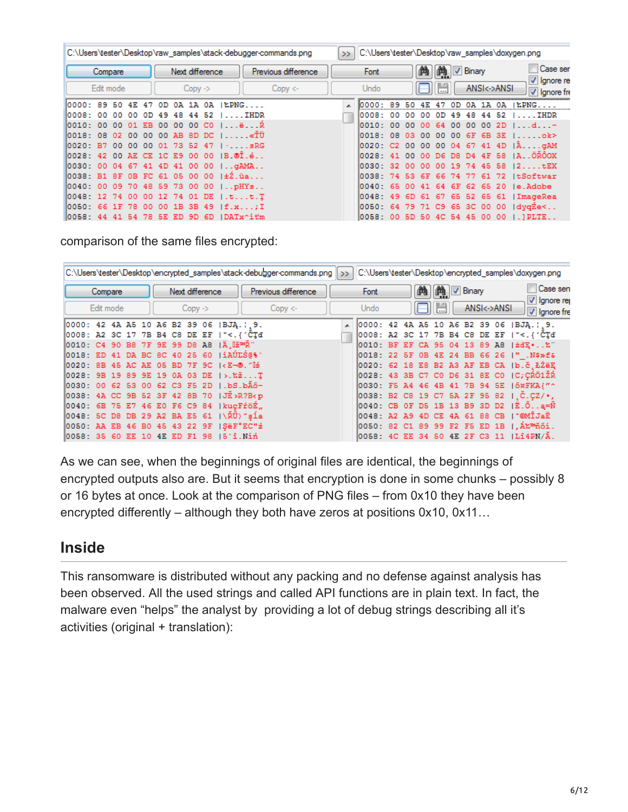|                                |           |     |     |                 |                |           |                   |                                        | C:\Users\tester\Desktop\raw_samples\stack-debugger-commands.png | 55 |                                |     |      |      |                |     |                        |             |             | C:\Users\tester\Desktop\raw_samples\doxygen.png |
|--------------------------------|-----------|-----|-----|-----------------|----------------|-----------|-------------------|----------------------------------------|-----------------------------------------------------------------|----|--------------------------------|-----|------|------|----------------|-----|------------------------|-------------|-------------|-------------------------------------------------|
|                                | Compare   |     |     |                 |                |           | Next difference   |                                        | Previous difference                                             |    | Font                           |     |      | Œ    | m              |     | $\triangledown$ Binary |             |             | Case ser<br>V Ignore re                         |
|                                | Edit mode |     |     |                 |                | $Copy$ -> |                   |                                        | Copy <                                                          |    | Undo                           |     |      |      | $\overline{a}$ |     |                        |             | ANSI<->ANSI | $ \nabla $ lanore from                          |
| 10000: 89 50 4E 47 OD          |           |     |     |                 |                |           | 0A 1A 0A          | $12PNG.$                               |                                                                 |    |                                | 89  |      | 4E   |                |     |                        |             | 0A.         | EPNG.                                           |
| 10008: 00                      | -nn       | -nn | 0D. | 49              | 48             | 44        | 52                | IHDR                                   |                                                                 |    | 10008:                         | -nn |      |      |                | 49  | 48.                    | 44          | -52         | $\ldots$ IHDR                                   |
| l0010: 00                      | 00        | -01 | EB. | -00             | -00            | 00        | CO.               | $1 \ldots \ddot{e} \ldots R$           |                                                                 |    | l0010 : -                      | -00 | nn   |      |                | nn  | nn                     | ററ          | 2D.         | . d. <del>.</del>                               |
| 10018: 08 02 00                |           |     |     |                 |                |           | 00 00 AB 8D DC    | 1 <b>«</b> TÜ                          |                                                                 |    | 10018: 08                      |     | -03. | -00  | $00-$          | -00 | 6F                     | 6B 3E       |             | . ok>                                           |
| 10020: B7                      |           |     |     |                 |                |           |                   | 00 00 00 01 73 52 47 $\ldots$ sRG      |                                                                 |    | 10020: C2 00 00 00 04 67 41 4D |     |      |      |                |     |                        |             |             | $ A$ $qAM$                                      |
|                                |           |     |     |                 |                |           |                   | 10028: 42 00 AE CE 1C E9 00 00 IB @Ï.é |                                                                 |    | 10028: 41 00 00 D6 D8 D4 4F 58 |     |      |      |                |     |                        |             |             | IAOROOX                                         |
| 10030: 00 04 67 41 4D 41 00 00 |           |     |     |                 |                |           |                   | $\lfloor$ qAMA                         |                                                                 |    | 10030: 32 00 00 00 19 74 45 58 |     |      |      |                |     |                        |             |             | 12tEX                                           |
| 10038: B1 8F                   |           |     |     |                 |                |           | 0B FC 61 05 00 00 | $1\pm 2$ .üa                           |                                                                 |    | 10038:74                       |     | -53  | -6F  | -66            | 74  | -77                    | 61          | -72         | ItSoftwar                                       |
| l0040: 00                      | -09       |     |     |                 | 70 48 59 73 00 |           | -00               | $1.0$ $HYs$                            |                                                                 |    | 10040: 65                      |     | .nn  | -41  | 64             | 6F  | -62                    | -65         | -20         | le.Adobe.                                       |
| 10048: 12 74 00                |           |     | nn. | 12 <sup>°</sup> |                |           | 74 01 DE          | 1.tt.T                                 |                                                                 |    | 10048: 49                      |     | 6D.  | -61  | 67             | 65. | -52.                   | 65 61       |             | ImageRea                                        |
| l0050: 66                      | -1 F      | 78. | .nn | -00             | 1B             | 3B.       | -49               | f.x;I                                  |                                                                 |    | 10050: 64                      |     |      | 7971 | C9.            |     |                        | 65 3C 00 00 |             | IdvaEe<                                         |
| 0058: 44 41 54 78 5E ED 9D 6D  |           |     |     |                 |                |           |                   | ∣DATx^itm                              |                                                                 |    | 0058: 00 5D 50 4C 54 45 00 00  |     |      |      |                |     |                        |             |             | $.$ ] PLTE.                                     |

comparison of the same files encrypted:

|                                                                                                                                                                                                                                                              |                                         |  |  |  |  |                     |  |      | C:\Users\tester\Desktop\encrypted_samples\stack-debugger-commands.png >> |  |                          |  |  |                        |             | C:\Users\tester\Desktop\encrypted_samples\doxygen.png           |            |
|--------------------------------------------------------------------------------------------------------------------------------------------------------------------------------------------------------------------------------------------------------------|-----------------------------------------|--|--|--|--|---------------------|--|------|--------------------------------------------------------------------------|--|--------------------------|--|--|------------------------|-------------|-----------------------------------------------------------------|------------|
|                                                                                                                                                                                                                                                              | Next difference<br>Compare<br>Edit mode |  |  |  |  | Previous difference |  | Font |                                                                          |  | <b>M</b> $\nabla$ Binary |  |  | Case sen<br>Ignore rep |             |                                                                 |            |
|                                                                                                                                                                                                                                                              |                                         |  |  |  |  | $Copy$ ->           |  |      | Copy <                                                                   |  | Undo                     |  |  |                        | ANSI<->ANSI |                                                                 | Ignore fre |
| 0000: 42 4A A5 10 A6 B2 39 06  BJĄ.¦¸9.                                                                                                                                                                                                                      |                                         |  |  |  |  |                     |  |      |                                                                          |  |                          |  |  |                        |             | A 0000: 42 4A A5 10 A6 B2 39 06  BJA.   9.                      |            |
| 0008: A2 3C 17 7B B4 C8 DE EF   "<.{'CTd'                                                                                                                                                                                                                    |                                         |  |  |  |  |                     |  |      |                                                                          |  |                          |  |  |                        |             | 0008: A2 3C 17 7B B4 C8 DE EF   "<.{'CTd'                       |            |
| 0010: C4 90 B8 7F 9E 99 D8 A8  Ä.∐ž™Ř¨                                                                                                                                                                                                                       |                                         |  |  |  |  |                     |  |      |                                                                          |  |                          |  |  |                        |             | 0010: BF EF CA 95 04 13 89 A8   żdE %"                          |            |
| 0018: ED 41 DA BC 8C 40 25 60  iAÚLS@%`                                                                                                                                                                                                                      |                                         |  |  |  |  |                     |  |      |                                                                          |  |                          |  |  |                        |             | 0018: 22 SF 0B 4E 24 BB 66 26  " .N\$»f&                        |            |
| 10020: 8B 45 AC AE 05 BD 7F 9C   <e¬®.″∐ś< td=""><td></td><td></td><td></td><td></td><td></td><td></td><td></td><td></td><td></td><td></td><td></td><td></td><td></td><td></td><td></td><td>0020: 62 18 E8 B2 A3 AF EB CA  b.č.ŁŻēE</td><td></td></e¬®.″∐ś<> |                                         |  |  |  |  |                     |  |      |                                                                          |  |                          |  |  |                        |             | 0020: 62 18 E8 B2 A3 AF EB CA  b.č.ŁŻēE                         |            |
| 0028: 9B 19 89 9E 19 0A 03 DE  >.‱ŽT                                                                                                                                                                                                                         |                                         |  |  |  |  |                     |  |      |                                                                          |  |                          |  |  |                        |             | 0028: 43 3B C7 C0 D6 31 8E C0   C; CRÖ1ŽR                       |            |
| 0030: 00 62 53 00 62 C3 F5 2D ∣.bS.bĂő−                                                                                                                                                                                                                      |                                         |  |  |  |  |                     |  |      |                                                                          |  |                          |  |  |                        |             | 0030: F5 A4 46 4B 41 7B 94 5E   Ö¤FKA{"^                        |            |
| 0038: 4A CC 9B 52 3F 42 8B 70   JË>R?B <p< td=""><td></td><td></td><td></td><td></td><td></td><td></td><td></td><td></td><td></td><td></td><td></td><td></td><td></td><td></td><td></td><td>0038: B2 C8 19 C7 5A 2F 95 82   C.CZ/.</td><td></td></p<>        |                                         |  |  |  |  |                     |  |      |                                                                          |  |                          |  |  |                        |             | 0038: B2 C8 19 C7 5A 2F 95 82   C.CZ/.                          |            |
| 0040: 6B 75 E7 46 E0 F6 C9 84   kuçFröÉ,                                                                                                                                                                                                                     |                                         |  |  |  |  |                     |  |      |                                                                          |  |                          |  |  |                        |             | $ 0040:$ CB OF D5 1B 13 B9 3D D2 $ \tilde{E}.\tilde{O}.\ .$ a=N |            |
| 0048: 5C D8 DB 29 A2 BA E5 61  \ŘŨ)~şĺa                                                                                                                                                                                                                      |                                         |  |  |  |  |                     |  |      |                                                                          |  |                          |  |  |                        |             | 0048: A2 A9 4D CE 4A 61 88 CB   "@MÎJaË                         |            |
| 0050: AA EB 46 B0 45 43 22 9F   SëF°EC"ž                                                                                                                                                                                                                     |                                         |  |  |  |  |                     |  |      |                                                                          |  |                          |  |  |                        |             | 0050: 82 C1 89 99 F2 F5 ED 1B   Á‱ ™ňői.                        |            |
| 0058: 35 60 EE 10 4E ED F1 98  5`î.Niń                                                                                                                                                                                                                       |                                         |  |  |  |  |                     |  |      |                                                                          |  |                          |  |  |                        |             | 0058: 4C EE 34 50 4E 2F C3 11   LÎ4PN/Ă.                        |            |

As we can see, when the beginnings of original files are identical, the beginnings of encrypted outputs also are. But it seems that encryption is done in some chunks – possibly 8 or 16 bytes at once. Look at the comparison of PNG files – from 0x10 they have been encrypted differently – although they both have zeros at positions 0x10, 0x11…

## **Inside**

This ransomware is distributed without any packing and no defense against analysis has been observed. All the used strings and called API functions are in plain text. In fact, the malware even "helps" the analyst by providing a lot of debug strings describing all it's activities (original + translation):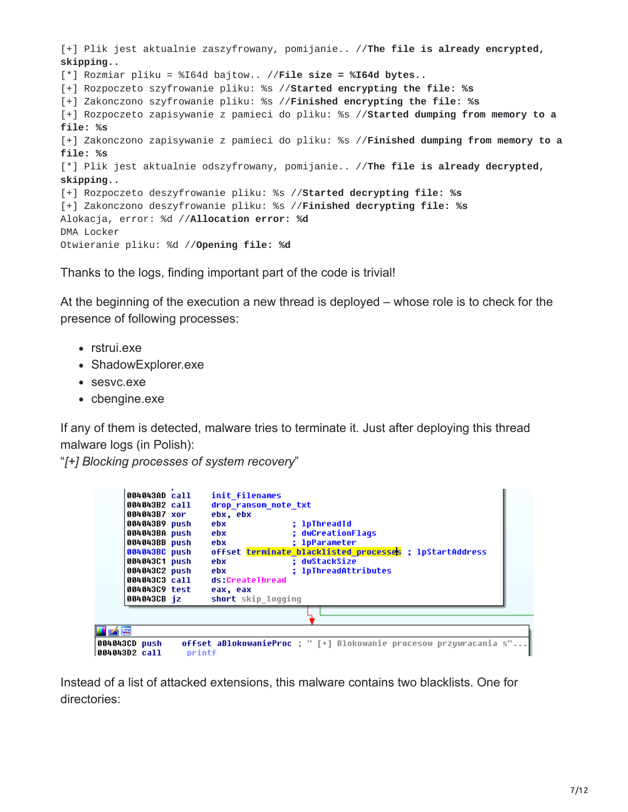[+] Plik jest aktualnie zaszyfrowany, pomijanie.. //**The file is already encrypted, skipping..** [\*] Rozmiar pliku = %I64d bajtow.. //**File size = %I64d bytes..** [+] Rozpoczeto szyfrowanie pliku: %s //**Started encrypting the file: %s** [+] Zakonczono szyfrowanie pliku: %s //**Finished encrypting the file: %s** [+] Rozpoczeto zapisywanie z pamieci do pliku: %s //**Started dumping from memory to a file: %s** [+] Zakonczono zapisywanie z pamieci do pliku: %s //**Finished dumping from memory to a file: %s** [\*] Plik jest aktualnie odszyfrowany, pomijanie.. //**The file is already decrypted, skipping..** [+] Rozpoczeto deszyfrowanie pliku: %s //**Started decrypting file: %s** [+] Zakonczono deszyfrowanie pliku: %s //**Finished decrypting file: %s** Alokacja, error: %d //**Allocation error: %d** DMA Locker Otwieranie pliku: %d //**Opening file: %d**

Thanks to the logs, finding important part of the code is trivial!

At the beginning of the execution a new thread is deployed – whose role is to check for the presence of following processes:

- rstrui.exe
- ShadowExplorer.exe
- sesvc.exe
- cbengine.exe

If any of them is detected, malware tries to terminate it. Just after deploying this thread malware logs (in Polish):

"*[+] Blocking processes of system recovery*"

| 004043AD call<br>004043B2 call<br>004043B7 xor<br>004043B9 push<br>004043BA push<br>004043BB push<br>004043BC push<br>004043C1 push<br>004043C2 push<br>004043C3 call<br>004043C9 test<br>004043CB iz | ebx, ebx<br>ebx.<br>ebx<br>ebx<br>ebx.<br>ebx<br>eax, eax | init filenames<br>drop ransom note txt<br>; lpThreadId<br>: dwCreationFlags<br>: 1pParameter<br>offset terminate_blacklisted_processes ; lpStartAddress<br>: dwStackSize<br>; 1pThreadAttributes<br>ds:CreateThread<br>short skip logging |
|-------------------------------------------------------------------------------------------------------------------------------------------------------------------------------------------------------|-----------------------------------------------------------|-------------------------------------------------------------------------------------------------------------------------------------------------------------------------------------------------------------------------------------------|
|                                                                                                                                                                                                       |                                                           |                                                                                                                                                                                                                                           |
| 凶降<br>004043CD push                                                                                                                                                                                   |                                                           | <b>offset aBlokowanieProc</b> : " [+] Blokowanie procesow przywracania s"                                                                                                                                                                 |
| 004043D2 call                                                                                                                                                                                         | printf                                                    |                                                                                                                                                                                                                                           |

Instead of a list of attacked extensions, this malware contains two blacklists. One for directories: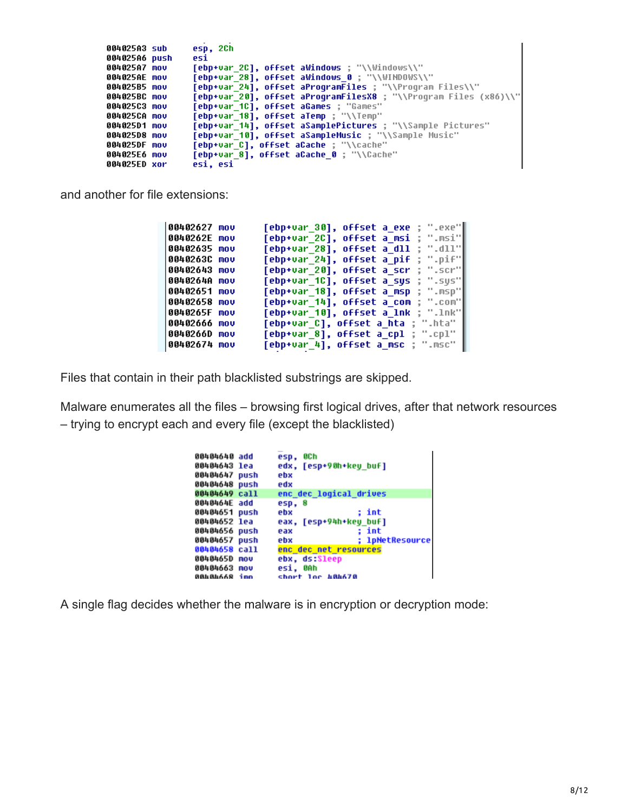| 004025A3 sub  | esp, 2Ch                                                         |
|---------------|------------------------------------------------------------------|
| 004025A6 push | esi                                                              |
| 004025A7 mov  | [ebp+var 2C], offset aWindows : "\\Windows\\"                    |
| 004025AE mov  | [ebp+var 28], offset aWindows 0 ; "\\WINDOWS\\"                  |
| 004025B5 mov  | [ebp+var_24], offset aProgramFiles ; "\\Program Files\\"         |
| 004025BC mov  | [ebp+var 20], offset aProgramFilesX8 ; "\\Program Files (x86)\\" |
| 004025C3 mov  | <b>Tebp+var 1C1, offset aGames : "Games"</b>                     |
| 004025CA mov  | [ebp+var 18], offset alemp : "\\Temp"                            |
| 004025D1 mov  | [ebp+var 14], offset aSamplePictures ; "\\Sample Pictures"       |
| 004025D8 mov  | [ebp+var 10], offset aSampleMusic ; "\\Sample Music"             |
| 004025DF mov  | [ebp+var C], offset aCache ; "\\cache"                           |
| 004025E6 mov  | [ebp+var 8], offset aCache 0; "\\Cache"                          |
| 004025ED xor  | esi, esi                                                         |

and another for file extensions:

| 00402627 mov  | [ebp+var_30], offset a_exe ; ".exe"        |
|---------------|--------------------------------------------|
| 0040262E mov  | [ebp+var 2C], offset a msi ; ".msi"        |
| 00402635 mov  | : ".d11"<br>[ebp+var_28], offset a dll     |
| 0040263C mov  | [ebp+var 24], offset a pif<br>∷ ".pif"     |
| 00402643 mov  | : ".scr"∥<br>[ebp+var 20], offset a scr    |
| 0040264A mov  | [ebp+var 1C], offset a sys ; ".sys"        |
| 00402651 mov  | [ebp+var 18], offset a msp ; ".msp"        |
| 00402658 mov  | [ebp+var 14], offset a com ; ".com"        |
| 0040265F mov  | [ebp+var_10], offset a_lnk ; ".lnk"        |
| 00402666 mov  | <b>[ebp+var C], offset a hta ; ".</b> hta" |
| ∣0040266D mov | [ebp+var_8], offset a cpl ; ".cpl"         |
| 00402674 mov  | [ebp+var_4], offset a_msc ; ".msc"         |

Files that contain in their path blacklisted substrings are skipped.

Malware enumerates all the files – browsing first logical drives, after that network resources – trying to encrypt each and every file (except the blacklisted)

| 00404640 add<br>ØCh<br>esp.<br>edx, [esp+90h+key buf]<br>00404643 lea<br>00404647 push<br>ebx<br>00404648 push<br>edx<br>enc dec logical drives<br>00404649 call<br>0040464E add<br>esp. 8<br>00404651 push<br>: int<br>ebx<br>00404652 lea<br>eax, [esp+94h+key buf]<br>: int<br>00404656 push<br>eax<br><b>: 1pNetResource</b><br>00404657 push<br>ebx<br>00404658 call<br>enc dec net resources<br>0040465D mov<br>ebx, ds:Sleep<br>00404663 nov<br>esi. OAh<br>nmi Rààdadan<br>short los 484678 |  |  |
|-----------------------------------------------------------------------------------------------------------------------------------------------------------------------------------------------------------------------------------------------------------------------------------------------------------------------------------------------------------------------------------------------------------------------------------------------------------------------------------------------------|--|--|
|                                                                                                                                                                                                                                                                                                                                                                                                                                                                                                     |  |  |
|                                                                                                                                                                                                                                                                                                                                                                                                                                                                                                     |  |  |
|                                                                                                                                                                                                                                                                                                                                                                                                                                                                                                     |  |  |
|                                                                                                                                                                                                                                                                                                                                                                                                                                                                                                     |  |  |
|                                                                                                                                                                                                                                                                                                                                                                                                                                                                                                     |  |  |
|                                                                                                                                                                                                                                                                                                                                                                                                                                                                                                     |  |  |
|                                                                                                                                                                                                                                                                                                                                                                                                                                                                                                     |  |  |
|                                                                                                                                                                                                                                                                                                                                                                                                                                                                                                     |  |  |
|                                                                                                                                                                                                                                                                                                                                                                                                                                                                                                     |  |  |
|                                                                                                                                                                                                                                                                                                                                                                                                                                                                                                     |  |  |
|                                                                                                                                                                                                                                                                                                                                                                                                                                                                                                     |  |  |
|                                                                                                                                                                                                                                                                                                                                                                                                                                                                                                     |  |  |
|                                                                                                                                                                                                                                                                                                                                                                                                                                                                                                     |  |  |
|                                                                                                                                                                                                                                                                                                                                                                                                                                                                                                     |  |  |

A single flag decides whether the malware is in encryption or decryption mode: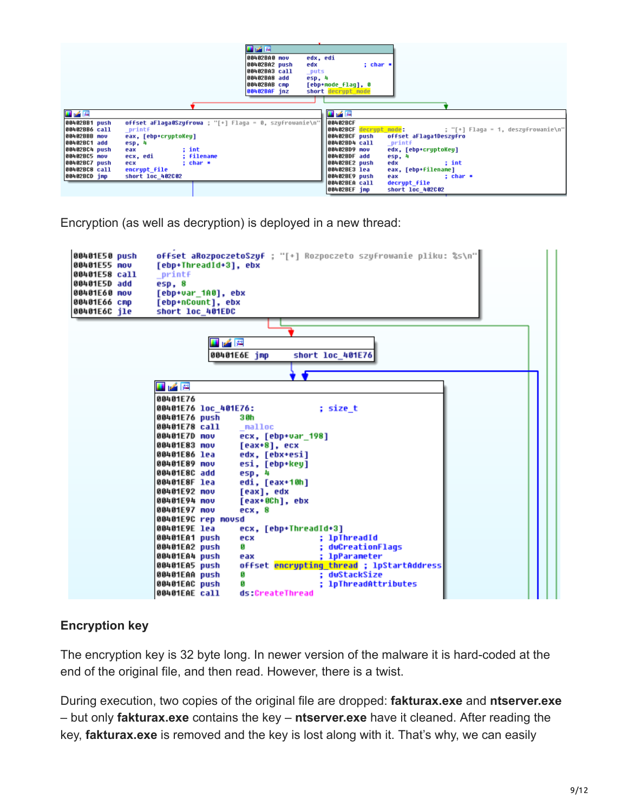|                                |                                                                   | 国家區<br>edx, edi<br>00402BA0 mov<br>00402BA2 push<br>: char *<br>edx<br>00402BA3 call<br>_puts                                         |
|--------------------------------|-------------------------------------------------------------------|---------------------------------------------------------------------------------------------------------------------------------------|
|                                |                                                                   | 00402BA8 add<br>esp, 4<br>00402BAB cmp                                                                                                |
|                                |                                                                   | [ebp+mode flaq], 0<br>00402BAF jnz<br>short decrypt mode                                                                              |
|                                |                                                                   |                                                                                                                                       |
| ■ <b>■ 图</b>                   |                                                                   | 耳尾図                                                                                                                                   |
| 00402BB1 push<br>00402BB6 call | offset aFlaga0Szufrowa : "[+] Flaga = 0, szufrowanie\n"<br>printf | 00402BCF<br><b>00402BCF</b> decrypt mode: $\qquad \qquad ; \qquad \qquad ; \qquad \qquad ; \qquad \qquad$ Flaqa = 1, deszyfrowanie\n" |
| 00402BBB mov<br>00402BC1 add   | eax, [ebp+cruptoKeu]<br>esp, 4                                    | 00402BCF push<br>offset aFlaga1Deszufro<br>00402BD4 call<br>printf                                                                    |
| 00402BC4 push                  | : int<br>eax                                                      | 00402BD9 mov<br>edx, [ebp+cruptoKeu]                                                                                                  |
| 00402BC5 mov<br>00402BC7 push  | ecx, edi<br>: filename<br>: char *<br>ecx                         | 00402BDF add<br>esp, 4<br>00402BE2 push<br>edx<br>: int                                                                               |
| 00402BC8 call                  | encrupt file                                                      | 00402BE3 lea<br>eax, [ebp+filename]                                                                                                   |
| 00402BCD jmp                   | short loc 402C02                                                  | 00402BE9 push<br>eax<br>: char ∗<br>00402BEA call<br>decrupt file<br>00402BEF imp<br>short loc 402002                                 |

Encryption (as well as decryption) is deployed in a new thread:



#### **Encryption key**

The encryption key is 32 byte long. In newer version of the malware it is hard-coded at the end of the original file, and then read. However, there is a twist.

During execution, two copies of the original file are dropped: **fakturax.exe** and **ntserver.exe** – but only **fakturax.exe** contains the key – **ntserver.exe** have it cleaned. After reading the key, **fakturax.exe** is removed and the key is lost along with it. That's why, we can easily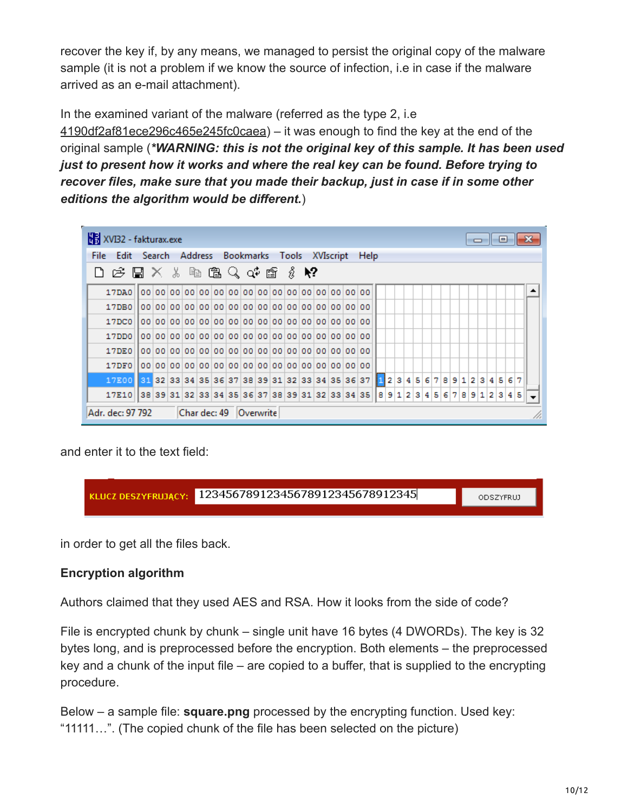recover the key if, by any means, we managed to persist the original copy of the malware sample (it is not a problem if we know the source of infection, i.e in case if the malware arrived as an e-mail attachment).

In the examined variant of the malware (referred as the type 2, i.e

[4190df2af81ece296c465e245fc0caea\)](https://malwr.com/analysis/YWZmMzY4OTk0N2E3NDNhZDkzMGE2ZGJlNDc1YWM3YmQ/) – it was enough to find the key at the end of the original sample (*\*WARNING: this is not the original key of this sample. It has been used just to present how it works and where the real key can be found. Before trying to recover files, make sure that you made their backup, just in case if in some other editions the algorithm would be different.*)

| XVI32 - fakturax.exe                                                                             |  |  |  |                        |  |  |  |  |                                                                               |  |  |  |  | - <del>- - 1</del> - | 0 |  |  |
|--------------------------------------------------------------------------------------------------|--|--|--|------------------------|--|--|--|--|-------------------------------------------------------------------------------|--|--|--|--|----------------------|---|--|--|
| Edit Search Address Bookmarks Tools XVIscript<br>File:                                           |  |  |  |                        |  |  |  |  | Help                                                                          |  |  |  |  |                      |   |  |  |
| $\Box$ p $\Box$ $\times$ $\parallel$ $\Box$ $\Box$ $\Box$ $\Diamond$ of $\Box$ $\Diamond$ $\lor$ |  |  |  |                        |  |  |  |  |                                                                               |  |  |  |  |                      |   |  |  |
| 17DAO                                                                                            |  |  |  |                        |  |  |  |  |                                                                               |  |  |  |  |                      |   |  |  |
| 17DB0                                                                                            |  |  |  |                        |  |  |  |  |                                                                               |  |  |  |  |                      |   |  |  |
| 17DC0                                                                                            |  |  |  |                        |  |  |  |  |                                                                               |  |  |  |  |                      |   |  |  |
| 17DD0                                                                                            |  |  |  |                        |  |  |  |  |                                                                               |  |  |  |  |                      |   |  |  |
| 17DE0                                                                                            |  |  |  |                        |  |  |  |  |                                                                               |  |  |  |  |                      |   |  |  |
| 17DFA                                                                                            |  |  |  |                        |  |  |  |  |                                                                               |  |  |  |  |                      |   |  |  |
| 17E00 31 32 33 34 35 36 37 38 39 31 32 33 34 35 36 37 1 2 3 4 5 6 7 8 9 1 2 3 4 5 6 7            |  |  |  |                        |  |  |  |  |                                                                               |  |  |  |  |                      |   |  |  |
| 17E10                                                                                            |  |  |  |                        |  |  |  |  | 38 39 31 32 33 34 35 36 37 38 39 31 32 33 34 35   8 9 1 2 3 4 5 6 7 8 9 1 2 3 |  |  |  |  |                      |   |  |  |
| Adr. dec: 97 792                                                                                 |  |  |  | Char dec: 49 Overwrite |  |  |  |  |                                                                               |  |  |  |  |                      |   |  |  |

and enter it to the text field:



in order to get all the files back.

#### **Encryption algorithm**

Authors claimed that they used AES and RSA. How it looks from the side of code?

File is encrypted chunk by chunk – single unit have 16 bytes (4 DWORDs). The key is 32 bytes long, and is preprocessed before the encryption. Both elements – the preprocessed key and a chunk of the input file – are copied to a buffer, that is supplied to the encrypting procedure.

Below – a sample file: **square.png** processed by the encrypting function. Used key: "11111…". (The copied chunk of the file has been selected on the picture)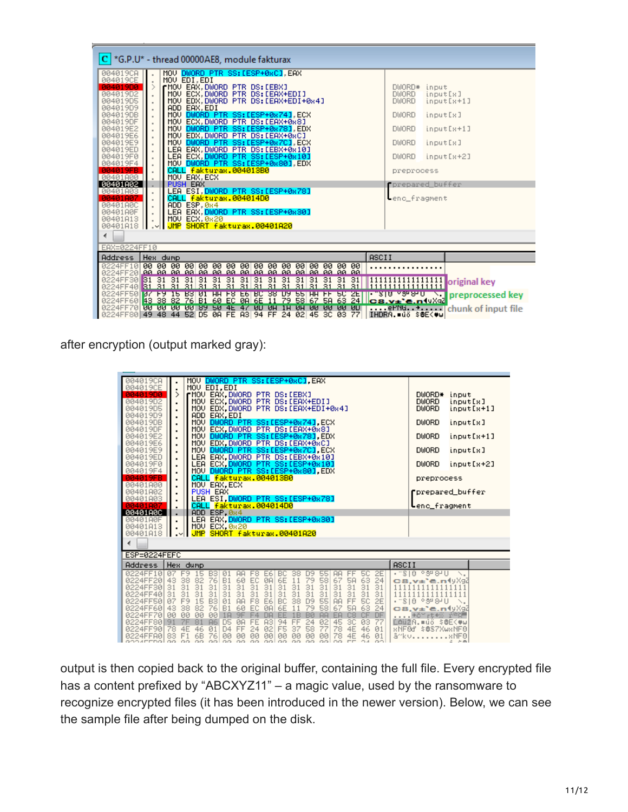| *G.P.U* - thread 00000AE8, module fakturax                                                                                                                                                                                                                                                                    |                                                                                                    |  |  |  |  |  |  |  |  |
|---------------------------------------------------------------------------------------------------------------------------------------------------------------------------------------------------------------------------------------------------------------------------------------------------------------|----------------------------------------------------------------------------------------------------|--|--|--|--|--|--|--|--|
| MOV DWORD PTR SS: [ESP+0xC], EAX<br>004019CA<br>004019CE<br>MOV EDI.EDI<br>rMOV EAX, DWORD PTR DS: [EBX]<br>004019D0<br>MOV ECX, DWORD PTR DS: LEAX+EDIJ<br>004019D2<br>MOV EDX DWORD PTR DS:[EAX+EDI+0x4]<br>004019D5<br>ADD EAX,EDI<br>MOV <mark>DWORD PTR SS:[ESP+0x74],ECX</mark><br>004019D9<br>004019DB | DWORD* input<br><b>DWORD</b><br>input[8]<br><b>DWORD</b><br>input[s+1]<br><b>DWORD</b><br>input[8] |  |  |  |  |  |  |  |  |
| MOV ECX.DWORD PTR DS:[EAX+0x8]<br>004019DF<br>MOV DWORD PTR SS: LESP+0x781, EDX<br>004019E2<br>$\blacksquare$<br>MOV EDX, DWORD PTR DS: LEAX+0xC1<br>004019E6<br>MOV DWORD PTR SS:[ESP+0x7C] ECX<br>004019E9<br>004019ED<br>LEA EAX DWORD PTR DS:[EBX+0x10]<br>004019F0                                       | <b>DWORD</b><br>input[s+1]<br><b>DWORD</b><br>input[x]<br><b>DWORD</b><br>input[s+2]               |  |  |  |  |  |  |  |  |
| LEA ECX,DWORD PTR SS:[ESP+0x10]<br>MOV DWORD PTR SS:[ESP+0x80],EDX<br>004019F4<br>CALL fakturax.004013B0<br>004019FB<br>MOU EAX, ECX<br>00401A00<br>PUSH EAX<br>00401A02<br>LEA ESI.DWORD PTR SS:[ESP+0x78]<br>00401A03                                                                                       | preprocess<br>prepared_buffer                                                                      |  |  |  |  |  |  |  |  |
| CALL fakturax.004014D0<br>00401807<br>ADD ESP, 0x4<br>00401A0C<br>LEA EAX, <mark>DWORD PTR SS:[ESP+0x30]</mark><br>00401A0F<br>MOU ECX, 0x20<br>00401A13<br>JMP SHORT fakturax.00401A20<br>00401A18<br>- ⊻HL                                                                                                  | enc_fragment                                                                                       |  |  |  |  |  |  |  |  |
| ∢<br>EAX=0224FF10                                                                                                                                                                                                                                                                                             |                                                                                                    |  |  |  |  |  |  |  |  |
| ASCII<br>Address<br>Hex dump                                                                                                                                                                                                                                                                                  |                                                                                                    |  |  |  |  |  |  |  |  |
| 0224FF10<br>0224FF20 <b>Lao ao ao ao lao ao ao ao ao ao ao ao ao ao ao ao ao</b> am                                                                                                                                                                                                                           |                                                                                                    |  |  |  |  |  |  |  |  |
| 31 31 31 31 31 31 31<br>0224FF40 31 31 31 31 31 31<br>31<br><u>0224FF50 BS F9 12 B3 NI HH F8 F0 BC 38 D9 P2 HH FF PC SE    28 N as San I</u><br>0224FF60  <mark>43 38 82 76 B1 60 EC 0A 6E 11 79 58 67 5A 63 24  cs.v±`e.n</mark> (vXqZ<br>0224FF70 88 88 88 88 89 28 4F 45 8D 8H 1H 8H 8R 8R 8R 8D           | 31 31 11111111111111111<br>$\Box$ preprocessed key<br>ernu chunk of input file                     |  |  |  |  |  |  |  |  |
| 0224FF80 49 48 44 52 D5 0A FE A3 94 FF 24 02 45 30 03 77   IHDRA. لَا \$0E<0.                                                                                                                                                                                                                                 |                                                                                                    |  |  |  |  |  |  |  |  |

after encryption (output marked gray):

| 004019CA<br>004019CE<br>88481908<br>004019D2<br>004019D5<br>004019D9<br>004019DB<br>004019DF<br>004019E2<br>004019E6<br>004019E9<br>004019ED<br>004019F0<br>004019F4<br>004019FB<br>00401A00<br>00401A02<br>00401A03<br>00401007<br>00401A0C<br>00401A0F<br>00401A13<br>00401A18<br>∢ | MOV DWORD PTR SS: [ESP+0xC] EAX<br>MOV EDI.EDI<br>$\blacksquare$<br>⋟<br>┏MOV EAX DWORD PTR DS:[EBX]<br>MOV ECX DWORD PTR DS:[EAX+EDI]<br>٠<br>MOV EDX DWORD PTR DS:[EAX+EDI+0x4]<br>ADD EAX, EDI<br>٠<br>MOV DWORD PTR SS:[ESP+0x74],ECX<br>MOV ECX.DWORD PTR DS: [EAX+0x8]<br>MOV DWORD PTR SS:[ESP+0x78],EDX<br>MOV EDX DWORD PTR DS: LEAX+0xC1<br>MOV DWORD PTR SS:[ESP+0x7C] ECX<br>٠<br>LEA EAX DWORD PTR DS: LEBX+0x101<br>$\blacksquare$<br>LEA ECX.DWORD PTR SS:[ESP+0x10]<br>MOV DWORD PTR SS:[ESP+0x80] EDX<br>$\blacksquare$<br>CALL fakturax.004013B0<br>MOV EAX.ECX<br>PUSH EAX<br>LEA ESI.DWORD PTR SS:[ESP+0x78]<br>CALL fakturax.004014D0<br>ADD ESP, 0x4<br>LEA EAX DWORD PTR SS: [ESP+0x30]<br>ä,<br>MOU ECX. 0x20<br>$\blacksquare$<br>JMP SHORT fakturax.00401A20                                                                                                                                                                                                                                                                                                                                                                                                                                                  | DWORD*<br>input<br><b>DWORD</b><br>input[x]<br><b>DWORD</b><br>input[x+1]<br><b>DWORD</b><br>input[x]<br><b>DWORD</b><br>input[x+1]<br><b>DWORD</b><br>input[x]<br><b>DWORD</b><br>input[x+2]<br>preprocess<br>∎prepared_buffer<br><b>L</b> enc_fragment |
|---------------------------------------------------------------------------------------------------------------------------------------------------------------------------------------------------------------------------------------------------------------------------------------|-----------------------------------------------------------------------------------------------------------------------------------------------------------------------------------------------------------------------------------------------------------------------------------------------------------------------------------------------------------------------------------------------------------------------------------------------------------------------------------------------------------------------------------------------------------------------------------------------------------------------------------------------------------------------------------------------------------------------------------------------------------------------------------------------------------------------------------------------------------------------------------------------------------------------------------------------------------------------------------------------------------------------------------------------------------------------------------------------------------------------------------------------------------------------------------------------------------------------------------------|----------------------------------------------------------------------------------------------------------------------------------------------------------------------------------------------------------------------------------------------------------|
| ESP=0224FEFC                                                                                                                                                                                                                                                                          |                                                                                                                                                                                                                                                                                                                                                                                                                                                                                                                                                                                                                                                                                                                                                                                                                                                                                                                                                                                                                                                                                                                                                                                                                                         |                                                                                                                                                                                                                                                          |
|                                                                                                                                                                                                                                                                                       |                                                                                                                                                                                                                                                                                                                                                                                                                                                                                                                                                                                                                                                                                                                                                                                                                                                                                                                                                                                                                                                                                                                                                                                                                                         |                                                                                                                                                                                                                                                          |
| Address                                                                                                                                                                                                                                                                               | ASCII<br>Hex dump                                                                                                                                                                                                                                                                                                                                                                                                                                                                                                                                                                                                                                                                                                                                                                                                                                                                                                                                                                                                                                                                                                                                                                                                                       | *  8   8 + 6 + 6 + 0 + 0 +                                                                                                                                                                                                                               |
| 0224FF10<br>-07<br>0224FF20 43<br>0224FF30<br>31<br>31<br>0224FF40<br>0224FF50<br>07<br>0224FF601<br>43<br>0224FF70<br>00<br>0224FF80 91<br>0224FF90<br>78<br>0224FFA01<br>83<br>oobarrnol oo.                                                                                        | F <sub>9</sub><br>B3<br>01<br>55<br>5C<br>2E<br>15<br><b>AA</b><br>F8<br>E6 BC<br>38<br>D9<br>AA.<br>FF<br>38<br>82<br>76<br>B1<br>11<br>79<br>58<br>5A<br>63<br>60<br>EC<br>08 6E<br>67<br>24<br>31<br>31<br>31<br>31<br>31<br>31<br>31<br>31<br>31<br>31<br>31<br>31<br>31<br>31<br>31<br>31<br>31<br>31<br>31<br>31<br>31<br>31<br>31<br>31<br>31<br>31<br>31<br>31<br>31<br>31<br>55<br>5C<br>2E<br>BC<br>F <sub>9</sub><br>15<br>B <sub>3</sub><br>01<br><b>AA</b><br>E6<br>D <sub>9</sub><br><b>AA</b><br>FF<br>F8<br>38<br>B1<br>6E<br>79<br>58<br>24<br>38<br>82<br>76<br>60<br>EC<br>ØA<br>67<br>5A<br>63<br>9F<br><b>BØ</b><br><b>AR</b><br>C8<br>CF<br>DF<br><b>ØØ</b><br>00<br>1 <sub>H</sub><br>EE<br><b>ØØ</b><br>F4<br>DA<br>1B<br>EA<br>81<br>7F<br><b>A6</b><br>ØA<br>94<br>24<br>02<br>45<br>3C<br>03<br>D <sub>5</sub><br>FE<br>A3<br>FF<br>77<br>78<br>58<br>77<br>F <sub>5</sub><br>4E<br>46<br>$\Box 4$<br>FF<br>24<br>37<br>46<br>4E<br>Q <sub>1</sub><br>02<br>01<br>s NF6d"<br>F1<br>6B<br>76<br>78<br>4E<br>ØØ.<br>00<br>00<br>00<br><b>ØØ</b><br>ØØ<br>46<br>01<br>ØØ<br><b>ØØ</b><br><b>GO</b><br>COL.<br>Loo Loo<br>COL.<br><b>GO</b><br>no.<br>CO.<br><b>GO</b><br><b>COL</b><br>Loo Loo<br>OB EE<br>CLA. | $C8, v \pm $ e.n $4y \times 90$<br>1111111111<br>111111111111111<br>*  8   8   6   6   6  <br>$C8. v \pm 1.01$<br>⊯č≚rt⊀⊞<br>LAWER. = WÖ \$@EK♥W<br>\$887XwxNF0<br>āmkvxNF0<br>三、石器上                                                                     |

output is then copied back to the original buffer, containing the full file. Every encrypted file has a content prefixed by "ABCXYZ11" – a magic value, used by the ransomware to recognize encrypted files (it has been introduced in the newer version). Below, we can see the sample file after being dumped on the disk.